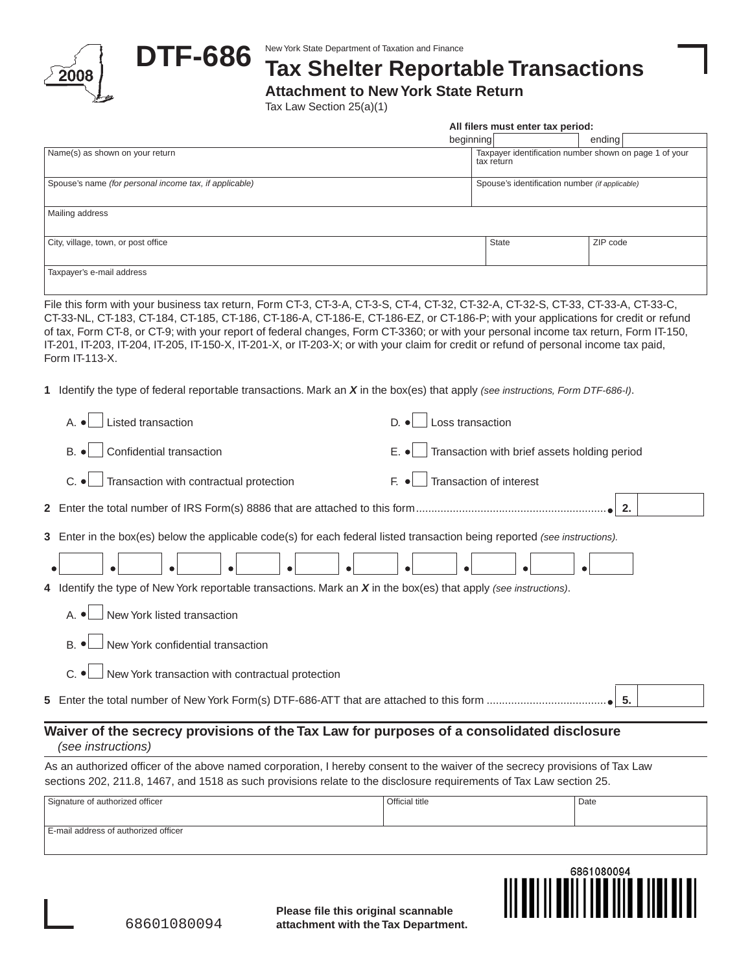



## **DTF-686** New York State Department of Taxation and Finance<br>
Tax Shelter Reportable Transactions

**Attachment to New York State Return**

Tax Law Section 25(a)(1)

| All filers must enter tax period: |
|-----------------------------------|
|-----------------------------------|

|                                                        | beginning                                                            | ending   |  |  |  |
|--------------------------------------------------------|----------------------------------------------------------------------|----------|--|--|--|
| Name(s) as shown on your return                        | Taxpayer identification number shown on page 1 of your<br>tax return |          |  |  |  |
| Spouse's name (for personal income tax, if applicable) | Spouse's identification number (if applicable)                       |          |  |  |  |
| Mailing address                                        |                                                                      |          |  |  |  |
| City, village, town, or post office                    | <b>State</b>                                                         | ZIP code |  |  |  |
| Taxpayer's e-mail address                              |                                                                      |          |  |  |  |

File this form with your business tax return, Form CT-3, CT-3-A, CT-3-S, CT-4, CT-32, CT-32-A, CT-32-S, CT-33, CT-33-A, CT-33-C, CT-33-NL, CT-183, CT-184, CT-185, CT-186, CT-186-A, CT-186-E, CT-186-EZ, or CT-186-P; with your applications for credit or refund of tax, Form CT-8, or CT-9; with your report of federal changes, Form CT-3360; or with your personal income tax return, Form IT-150, IT-201, IT-203, IT-204, IT-205, IT-150-X, IT-201-X, or IT-203-X; or with your claim for credit or refund of personal income tax paid, Form IT-113-X.

**1** Identify the type of federal reportable transactions. Mark an *X* in the box(es) that apply *(see instructions, Form DTF-686-I)*.

|                                                                                                                                                                                                                                                     | Listed transaction                                                                                                         | Loss transaction<br>D.                                         |      |  |  |  |
|-----------------------------------------------------------------------------------------------------------------------------------------------------------------------------------------------------------------------------------------------------|----------------------------------------------------------------------------------------------------------------------------|----------------------------------------------------------------|------|--|--|--|
|                                                                                                                                                                                                                                                     | Confidential transaction<br>$B.$ $\bullet$                                                                                 | Transaction with brief assets holding period<br>$E.$ $\bullet$ |      |  |  |  |
|                                                                                                                                                                                                                                                     | Transaction with contractual protection<br>$C.$ $\bullet$                                                                  | Transaction of interest<br>F. ●                                |      |  |  |  |
|                                                                                                                                                                                                                                                     | $\blacksquare$ 2.                                                                                                          |                                                                |      |  |  |  |
|                                                                                                                                                                                                                                                     | 3 Enter in the box(es) below the applicable code(s) for each federal listed transaction being reported (see instructions). |                                                                |      |  |  |  |
|                                                                                                                                                                                                                                                     |                                                                                                                            |                                                                |      |  |  |  |
|                                                                                                                                                                                                                                                     | 4 Identify the type of New York reportable transactions. Mark an $X$ in the box(es) that apply (see instructions).         |                                                                |      |  |  |  |
|                                                                                                                                                                                                                                                     | New York listed transaction                                                                                                |                                                                |      |  |  |  |
|                                                                                                                                                                                                                                                     | New York confidential transaction<br>R ·                                                                                   |                                                                |      |  |  |  |
|                                                                                                                                                                                                                                                     | New York transaction with contractual protection<br>C.                                                                     |                                                                |      |  |  |  |
|                                                                                                                                                                                                                                                     |                                                                                                                            |                                                                |      |  |  |  |
| Waiver of the secrecy provisions of the Tax Law for purposes of a consolidated disclosure<br>(see instructions)                                                                                                                                     |                                                                                                                            |                                                                |      |  |  |  |
| As an authorized officer of the above named corporation, I hereby consent to the waiver of the secrecy provisions of Tax Law<br>sections 202, 211.8, 1467, and 1518 as such provisions relate to the disclosure requirements of Tax Law section 25. |                                                                                                                            |                                                                |      |  |  |  |
|                                                                                                                                                                                                                                                     | Signature of authorized officer                                                                                            | Official title                                                 | Date |  |  |  |

| E-mail address of authorized officer |
|--------------------------------------|
|--------------------------------------|



**Please file this original scannable attachment with the Tax Department.**